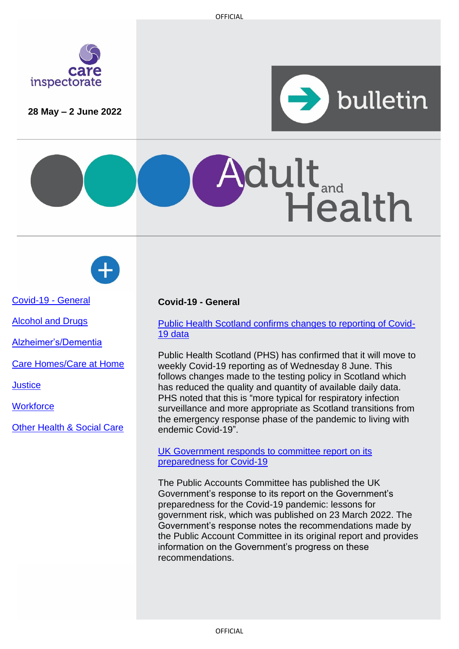

**28 May – 2 June 2022**



Health





[Covid-19 -](#page-0-0) General

[Alcohol and Drugs](#page-0-0)

[Alzheimer's/Dementia](#page-1-0)

[Care Homes/Care at Home](#page-1-1)

**[Justice](#page-2-0)** 

**Workforce** 

[Other Health & Social Care](#page-3-0)

# <span id="page-0-0"></span>**Covid-19 - General**

# [Public Health Scotland confirms changes to reporting of Covid-](https://publichealthscotland.scot/news/2022/june/update-on-changes-to-reporting-of-covid-19-statistics/)[19 data](https://publichealthscotland.scot/news/2022/june/update-on-changes-to-reporting-of-covid-19-statistics/)

 $\mathbf{dult}_{\tiny \textsf{and}}$ 

Public Health Scotland (PHS) has confirmed that it will move to weekly Covid-19 reporting as of Wednesday 8 June. This follows changes made to the testing policy in Scotland which has reduced the quality and quantity of available daily data. PHS noted that this is "more typical for respiratory infection surveillance and more appropriate as Scotland transitions from the emergency response phase of the pandemic to living with endemic Covid-19".

#### [UK Government responds to committee report on its](https://committees.parliament.uk/publications/22462/documents/165547/default/)  [preparedness for Covid-19](https://committees.parliament.uk/publications/22462/documents/165547/default/)

The Public Accounts Committee has published the UK Government's response to its report on the Government's preparedness for the Covid-19 pandemic: lessons for government risk, which was published on 23 March 2022. The Government's response notes the recommendations made by the Public Account Committee in its original report and provides information on the Government's progress on these recommendations.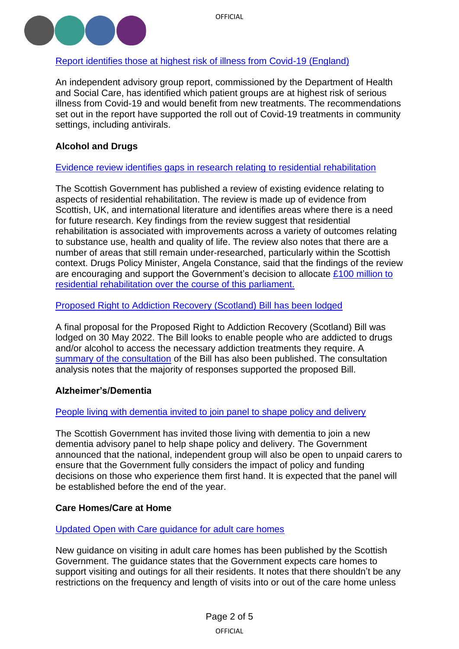

# <span id="page-1-0"></span>[Report identifies those at highest risk of illness from Covid-19 \(England\)](https://www.gov.uk/government/publications/higher-risk-patients-eligible-for-covid-19-treatments-independent-advisory-group-report)

An independent advisory group report, commissioned by the Department of Health and Social Care, has identified which patient groups are at highest risk of serious illness from Covid-19 and would benefit from new treatments. The recommendations set out in the report have supported the roll out of Covid-19 treatments in community settings, including antivirals.

# **Alcohol and Drugs**

# [Evidence review identifies gaps in research relating](https://www.gov.scot/publications/residential-rehabilitation-review-existing-literature-identification-research-gaps-within-scottish-context/) to residential rehabilitation

The Scottish Government has published a review of existing evidence relating to aspects of residential rehabilitation. The review is made up of evidence from Scottish, UK, and international literature and identifies areas where there is a need for future research. Key findings from the review suggest that residential rehabilitation is associated with improvements across a variety of outcomes relating to substance use, health and quality of life. The review also notes that there are a number of areas that still remain under-researched, particularly within the Scottish context. Drugs Policy Minister, Angela Constance, said that the findings of the review are encouraging and support the Government's decision to allocate  $£100$  million to [residential rehabilitation over the course of this parliament.](https://www.gov.scot/news/residential-rehabilitation-study-published/)

[Proposed Right to Addiction Recovery \(Scotland\) Bill](https://www.parliament.scot/bills-and-laws/proposals-for-bills/proposed-right-to-addiction-recovery-scotland-bill) has been lodged

A final proposal for the Proposed Right to Addiction Recovery (Scotland) Bill was lodged on 30 May 2022. The Bill looks to enable people who are addicted to drugs and/or alcohol to access the necessary addiction treatments they require. A [summary of the consultation](https://www.parliament.scot/-/media/files/legislation/proposed-members-bills/righttoaddictionrecoveryconsultationsummary-final.pdf) of the Bill has also been published. The consultation analysis notes that the majority of responses supported the proposed Bill.

# **Alzheimer's/Dementia**

# [People living with dementia invited to join panel to shape policy and delivery](https://www.gov.scot/news/dementia-advisory-panel/)

The Scottish Government has invited those living with dementia to join a new dementia advisory panel to help shape policy and delivery. The Government announced that the national, independent group will also be open to unpaid carers to ensure that the Government fully considers the impact of policy and funding decisions on those who experience them first hand. It is expected that the panel will be established before the end of the year.

# <span id="page-1-1"></span>**Care Homes/Care at Home**

# [Updated Open with Care guidance for adult care homes](https://www.gov.scot/publications/open-with-care-supporting-meaningful-contact-in-adult-care-homes-principles/)

New guidance on visiting in adult care homes has been published by the Scottish Government. The guidance states that the Government expects care homes to support visiting and outings for all their residents. It notes that there shouldn't be any restrictions on the frequency and length of visits into or out of the care home unless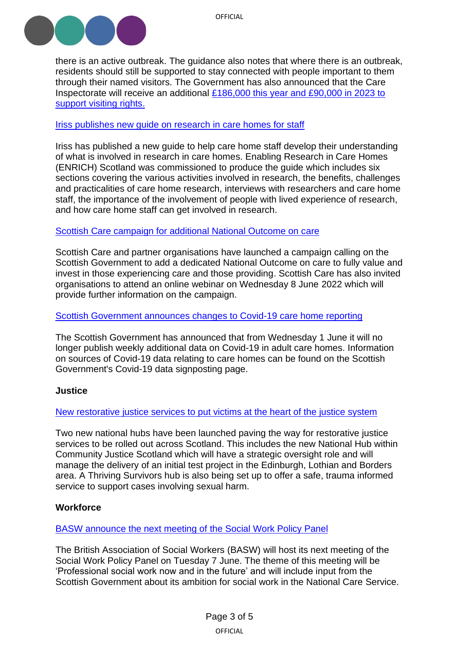

there is an active outbreak. The guidance also notes that where there is an outbreak, residents should still be supported to stay connected with people important to them through their named visitors. The Government has also announced that the Care Inspectorate will receive an additional [£186,000 this year and £90,000 in 2023 to](https://www.gov.scot/news/family-visits-made-easier-for-care-home-residents/)  support [visiting rights.](https://www.gov.scot/news/family-visits-made-easier-for-care-home-residents/)

# Iriss publishes [new guide on research in](https://www.iriss.org.uk/news/news/2022/05/31/introduction-care-home-research) care homes for staff

Iriss has published a new guide to help care home staff develop their understanding of what is involved in research in care homes. Enabling Research in Care Homes (ENRICH) Scotland was commissioned to produce the guide which includes six sections covering the various activities involved in research, the benefits, challenges and practicalities of care home research, interviews with researchers and care home staff, the importance of the involvement of people with lived experience of research, and how care home staff can get involved in research.

#### [Scottish Care campaign for additional National Outcome on care](https://scottishcare.org/help-us-create-a-scotland-that-cares/)

Scottish Care and partner organisations have launched a campaign calling on the Scottish Government to add a dedicated National Outcome on care to fully value and invest in those experiencing care and those providing. Scottish Care has also invited organisations to attend an online webinar on Wednesday 8 June 2022 which will provide further information on the campaign.

#### [Scottish Government announces changes to Covid-19 care home reporting](https://www.gov.scot/publications/coronavirus-covid-19-additional-data-about-adult-care-homes-in-scotland/)

The Scottish Government has announced that from Wednesday 1 June it will no longer publish weekly additional data on Covid-19 in adult care homes. Information on sources of Covid-19 data relating to care homes can be found on the Scottish Government's Covid-19 data signposting page.

# <span id="page-2-0"></span>**Justice**

#### New [restorative justice services to put victims at the heart of the justice system](https://www.gov.scot/news/restorative-justice-launch/)

Two new national hubs have been launched paving the way for restorative justice services to be rolled out across Scotland. This includes the new National Hub within Community Justice Scotland which will have a strategic oversight role and will manage the delivery of an initial test project in the Edinburgh, Lothian and Borders area. A Thriving Survivors hub is also being set up to offer a safe, trauma informed service to support cases involving sexual harm.

# **Workforce**

#### [BASW announce the next meeting of the Social Work Policy Panel](https://www.basw.co.uk/media/news/2022/may/social-work-policy-panel)

The British Association of Social Workers (BASW) will host its next meeting of the Social Work Policy Panel on Tuesday 7 June. The theme of this meeting will be 'Professional social work now and in the future' and will include input from the Scottish Government about its ambition for social work in the National Care Service.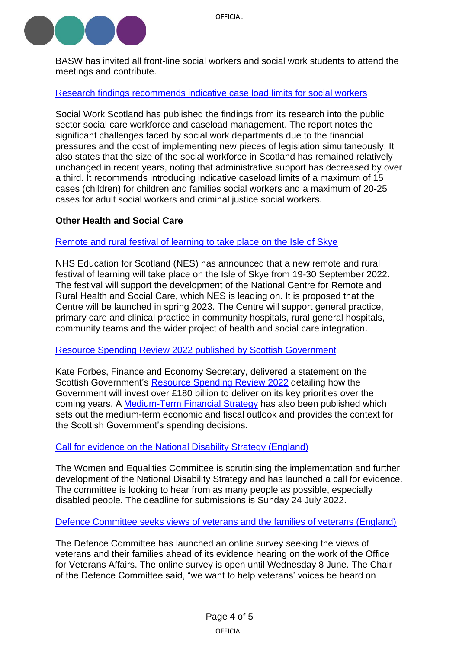

BASW has invited all front-line social workers and social work students to attend the meetings and contribute.

# [Research findings recommends indicative case load limits for social workers](https://socialworkscotland.org/reports/settingthebar/)

Social Work Scotland has published the findings from its research into the public sector social care workforce and caseload management. The report notes the significant challenges faced by social work departments due to the financial pressures and the cost of implementing new pieces of legislation simultaneously. It also states that the size of the social workforce in Scotland has remained relatively unchanged in recent years, noting that administrative support has decreased by over a third. It recommends introducing indicative caseload limits of a maximum of 15 cases (children) for children and families social workers and a maximum of 20-25 cases for adult social workers and criminal justice social workers.

# <span id="page-3-0"></span>**Other Health and Social Care**

# [Remote and rural festival of learning to take place on the Isle of Skye](https://www.nes.scot.nhs.uk/news/new-remote-and-rural-festival-of-learning-on-skye-will-promote-best-practice-in-the-delivery-of-remote-and-rural-health-and-social-care/)

NHS Education for Scotland (NES) has announced that a new remote and rural festival of learning will take place on the Isle of Skye from 19-30 September 2022. The festival will support the development of the National Centre for Remote and Rural Health and Social Care, which NES is leading on. It is proposed that the Centre will be launched in spring 2023. The Centre will support general practice, primary care and clinical practice in community hospitals, rural general hospitals, community teams and the wider project of health and social care integration.

# [Resource Spending Review 2022 published by Scottish Government](https://www.gov.scot/publications/ministerial-statement-resource-spending-review-framework/)

Kate Forbes, Finance and Economy Secretary, delivered a statement on the Scottish Government's [Resource Spending Review](https://www.gov.scot/publications/scottish-resource-spending-review/) 2022 detailing how the Government will invest over £180 billion to deliver on its key priorities over the coming years. A [Medium-Term Financial Strategy](https://www.gov.scot/publications/scotlands-fiscal-outlook-scottish-governments-medium-term-financial-strategy-2/) has also been published which sets out the medium-term economic and fiscal outlook and provides the context for the Scottish Government's spending decisions.

# [Call for evidence on the National Disability Strategy \(England\)](https://committees.parliament.uk/call-for-evidence/2634)

The Women and Equalities Committee is scrutinising the implementation and further development of the National Disability Strategy and has launched a call for evidence. The committee is looking to hear from as many people as possible, especially disabled people. The deadline for submissions is Sunday 24 July 2022.

[Defence Committee seeks views of veterans and the families of veterans \(England\)](https://committees.parliament.uk/committee/24/defence-committee/news/170955/defence-committee-seeks-views-of-veterans-ahead-of-evidence-hearing-with-mod-minister-office-for-veteran-affairs/)

The Defence Committee has launched an online survey seeking the views of veterans and their families ahead of its evidence hearing on the work of the Office for Veterans Affairs. The online survey is open until Wednesday 8 June. The Chair of the Defence Committee said, "we want to help veterans' voices be heard on